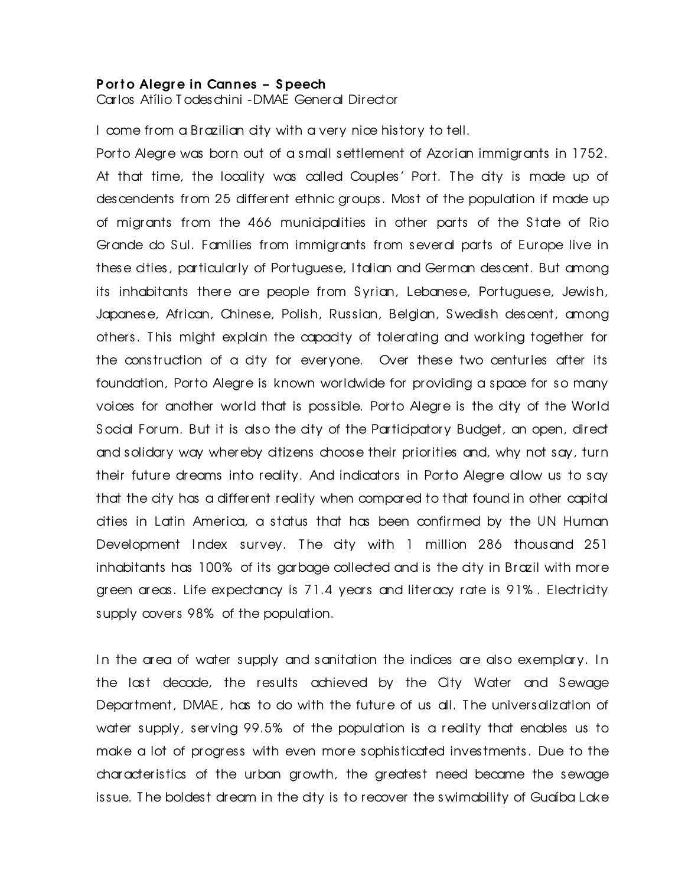## P or to Alegre in Cannes – Speech

Carlos Atílio Todeschini -DMAE General Director

I come from a Brazilian city with a very nice history to tell.

Porto Alegre was born out of a small settlement of Azorian immigrants in 1752. At that time, the locality was called Couples' Port. The city is made up of descendents from 25 different ethnic groups. Most of the population if made up of migrants from the 466 municipalities in other parts of the S tate of Rio Grande do Sul. Families from immigrants from several parts of Europe live in these cities, particularly of Portuguese, I talian and German descent. But among its inhabitants there are people from S yrian, Lebanese, Portuguese, Jewish, Japanese, African, Chinese, Polish, Russian, Belgian, S wedish descent, among others. T his might explain the capacity of tolerating and working together for the construction of a city for everyone. Over these two centuries after its foundation, Porto Alegre is known worldwide for providing a space for so many voices for another world that is possible. Porto Alegre is the city of the World Social Forum. But it is also the city of the Participatory Budget, an open, direct and solidary way whereby citizens choose their priorities and, why not say, turn their future dreams into reality. And indicators in Porto Alegre allow us to say that the city has a different reality when compared to that found in other capital cities in Latin America, a status that has been confirmed by the UN Human Development Index survey. The city with 1 million 286 thousand 251 inhabitants has 100% of its garbage collected and is the city in Brazil with more green areas. Life expectancy is 71.4 years and literacy rate is 91% . Electricity supply covers 98% of the population.

In the area of water supply and sanitation the indices are also exemplary. In the last decade, the results achieved by the City Water and Sewage Department, DMAE, has to do with the future of us all. The universalization of water supply, serving 99.5% of the population is a reality that enables us to make a lot of progress with even more sophisticated investments. Due to the characteristics of the urban growth, the greatest need became the sewage issue. T he boldest dream in the city is to recover the swimability of Guaíba Lake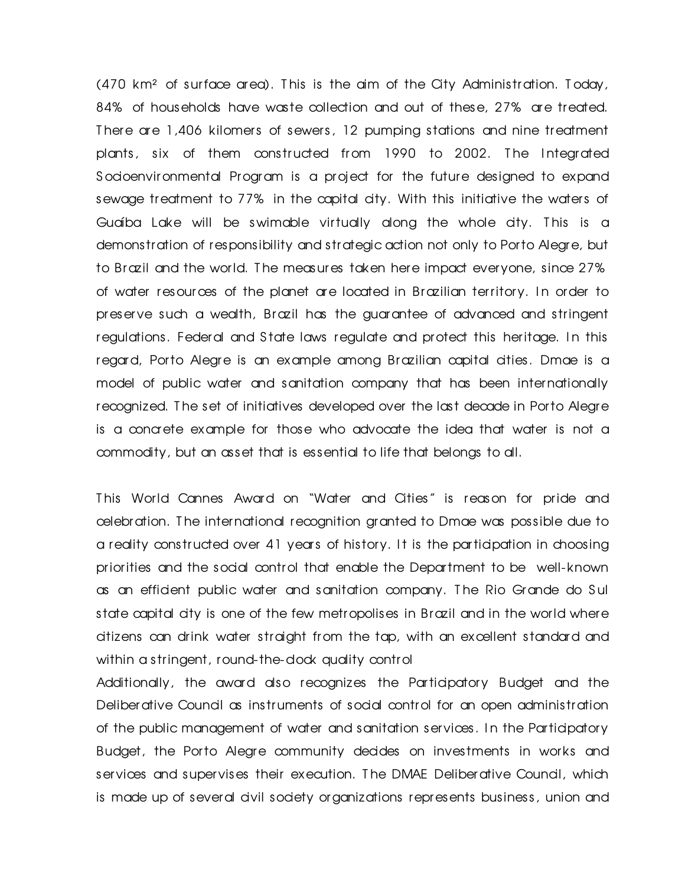(470 km² of surface area). T his is the aim of the City Administration. T oday, 84% of households have waste collection and out of these, 27% are treated. T here are 1,406 kilomers of sewers, 12 pumping stations and nine treatment plants, six of them constructed from 1990 to 2002. The Integrated S ocioenvironmental Program is a project for the future designed to expand sewage treatment to 77% in the capital city. With this initiative the waters of Guaíba Lake will be swimable virtually along the whole city. T his is a demonstration of responsibility and strategic action not only to Porto Alegre, but to Brazil and the world. T he measures taken here impact ever yone, since 27% of water resources of the planet are located in Brazilian territory. In order to preserve such a wealth, Brazil has the guarantee of advanced and stringent regulations. Federal and State laws regulate and protect this heritage. In this regard, Porto Alegre is an example among Brazilian capital cities. Dmae is a model of public water and sanitation company that has been internationally recognized. T he set of initiatives developed over the last decade in Porto Alegre is a concrete example for those who advocate the idea that water is not a commodity, but an asset that is essential to life that belongs to all.

This World Cannes Award on "Water and Cities" is reason for pride and celebration. T he international recognition granted to Dmae was possible due to a reality constructed over 41 years of history. It is the participation in choosing priorities and the social control that enable the Department to be well-known as an efficient public water and sanitation company. T he Rio Grande do S ul state capital city is one of the few metropolises in Brazil and in the world where citizens can drink water straight from the tap, with an excellent standard and within a stringent, round-the-dock quality control

Additionally, the award also recognizes the Participatory Budget and the Deliberative Council as instruments of social control for an open administration of the public management of water and sanitation services. I n the Participatory Budget, the Porto Alegre community decides on investments in works and services and supervises their execution. The DMAE Deliberative Council, which is made up of several civil society organizations represents business, union and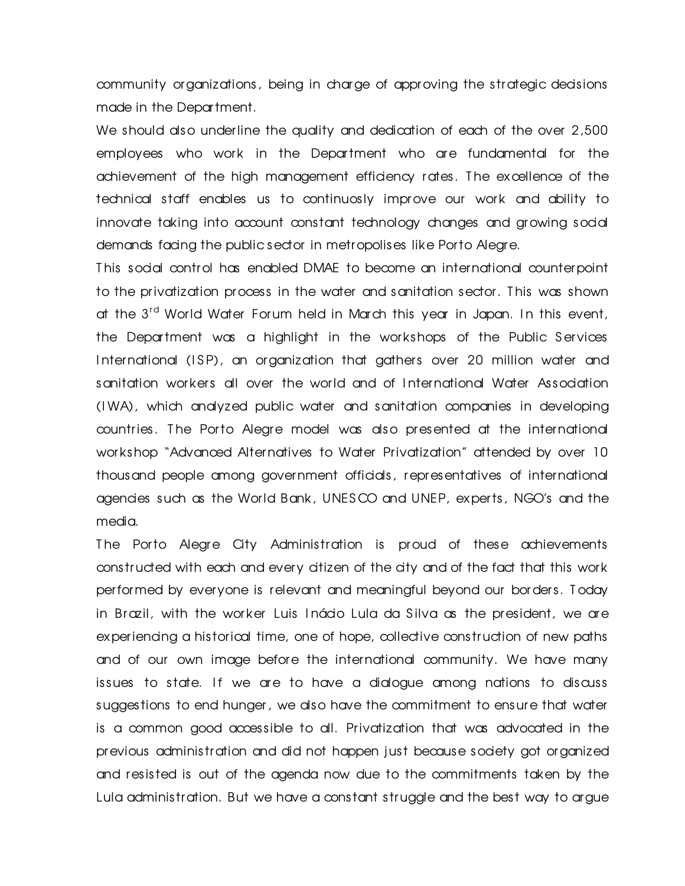community organizations, being in charge of approving the strategic decisions made in the Department.

We should also underline the quality and dedication of each of the over 2,500 employees who work in the Department who are fundamental for the achievement of the high management efficiency rates. The excellence of the technical staff enables us to continuosly improve our work and ability to innovate taking into account constant technology changes and growing social demands facing the public sector in metropolises like Porto Alegre.

T his social control has enabled DMAE to become an international counterpoint to the privatization process in the water and sanitation sector. T his was shown at the 3<sup>rd</sup> World Water Forum held in March this year in Japan. In this event, the Department was a highlight in the workshops of the Public Services International (ISP), an organization that gathers over 20 million water and sanitation wor kers all over the world and of I nternational Water Association (I WA), which analyzed public water and sanitation companies in developing countries. T he Porto Alegre model was also presented at the international wor kshop "Advanced Alternatives to Water Privatization" attended by over 10 thousand people among government officials, representatives of international agencies such as the World Bank, UNESCO and UNEP, experts, NGO's and the media.

The Porto Alegre City Administration is proud of these achievements constructed with each and every citizen of the city and of the fact that this work performed by everyone is relevant and meaningful beyond our borders. T oday in Brazil, with the wor ker Luis I nácio Lula da S ilva as the president, we are experiencing a historical time, one of hope, collective construction of new paths and of our own image before the international community. We have many issues to state. If we are to have a dialogue among nations to discuss suggestions to end hunger, we also have the commitment to ensure that water is a common good accessible to all. Privatization that was advocated in the previous administration and did not happen just because society got organized and resisted is out of the agenda now due to the commitments taken by the Lula administration. But we have a constant struggle and the best way to argue